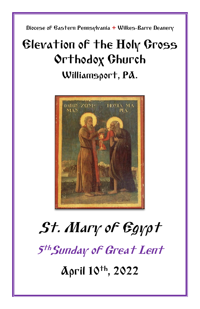Diocese of Eastern Pennsylvania **+** Wilkes-Barre Deanery

## Elevation of the Holy Cross Orthodox Church Williamsport, PA.



# St. Mary of Egypt 5<sup>th</sup>Sunday of Great Lent April 10th, 2022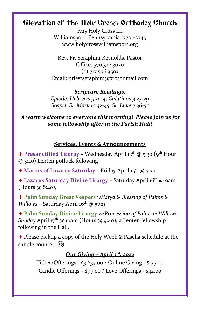### Elevation of the Holy Cross Orthodox Church

1725 Holy Cross Ln Williamsport, Pennsylvania 17701-2749 www.holycrosswilliamsport.org

Rev. Fr. Seraphim Reynolds, Pastor Office: 570.322.3020 (c) 717.576.3503 Email: priestseraphim@protonmail.com

*Scripture Readings: Epistle: Hebrews 9:11-14; Galatians 3:23-29 Gospel: St. Mark 10:32-45; St. Luke 7:36-50*

*A warm welcome to everyone this morning! Please join us for some fellowship after in the Parish Hall!*

#### **Services, Events & Announcements**

+ Presanctified Liturgy - Wednesday April 13<sup>th</sup> @ 5:30 (9<sup>th</sup> Hour @ 5:20) Lenten potluck following

+ **Matins of Lazarus Saturday** – Friday April 15th @ 5:30

+ **Lazarus Saturday Divine Liturgy** *–* Saturday April 16th @ 9am (Hours @ 8:40),

+ **Palm Sunday Great Vespers** *w/Litya & Blessing of Palms & Willows* – Saturday April 16<sup>th</sup> @ 5pm

+ **Palm Sunday Divine Liturgy** *w/Procession of Palms & Willows* – *Sunday* April 17 th @ 10am (Hours @ 9:40), a Lenten fellowship following in the Hall.

+ Please pickup a copy of the Holy Week & Pascha schedule at the candle counter.

#### *Our Giving – April 3rd, 2022*

Tithes/Offerings - \$3,637.00 / Online Giving - \$175.00 Candle Offerings – \$97.00 / Love Offerings - \$42.00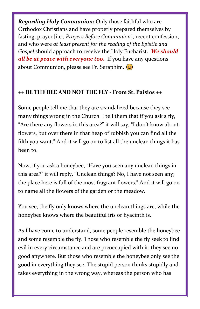*Regarding Holy Communion***:** Only those faithful who are Orthodox Christians and have properly prepared themselves by fasting, prayer [i.e., *Prayers Before Communion*], recent confession, and who were *at least present for the reading of the Epistle and Gospel* should approach to receive the Holy Eucharist. *We should all be at peace with everyone too***.** If you have any questions about Communion, please see Fr. Seraphim.  $\circled{c}$ 

#### **++ BE THE BEE AND NOT THE FLY - From St. Paisios ++**

Some people tell me that they are scandalized because they see many things wrong in the Church. I tell them that if you ask a fly, "Are there any flowers in this area?" it will say, "I don't know about flowers, but over there in that heap of rubbish you can find all the filth you want." And it will go on to list all the unclean things it has been to.

Now, if you ask a honeybee, "Have you seen any unclean things in this area?" it will reply, "Unclean things? No, I have not seen any; the place here is full of the most fragrant flowers." And it will go on to name all the flowers of the garden or the meadow.

You see, the fly only knows where the unclean things are, while the honeybee knows where the beautiful iris or hyacinth is.

As I have come to understand, some people resemble the honeybee and some resemble the fly. Those who resemble the fly seek to find evil in every circumstance and are preoccupied with it; they see no good anywhere. But those who resemble the honeybee only see the good in everything they see. The stupid person thinks stupidly and takes everything in the wrong way, whereas the person who has